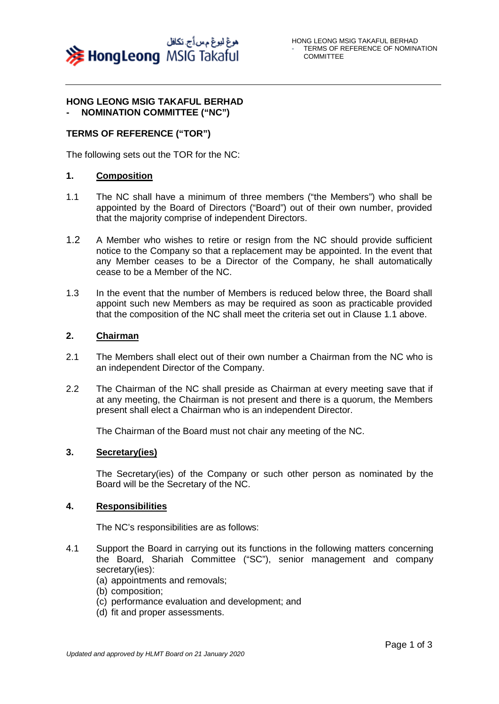

#### **HONG LEONG MSIG TAKAFUL BERHAD - NOMINATION COMMITTEE ("NC")**

## **TERMS OF REFERENCE ("TOR")**

The following sets out the TOR for the NC:

### **1. Composition**

- 1.1 The NC shall have a minimum of three members ("the Members") who shall be appointed by the Board of Directors ("Board") out of their own number, provided that the majority comprise of independent Directors.
- 1.2 A Member who wishes to retire or resign from the NC should provide sufficient notice to the Company so that a replacement may be appointed. In the event that any Member ceases to be a Director of the Company, he shall automatically cease to be a Member of the NC.
- 1.3 In the event that the number of Members is reduced below three, the Board shall appoint such new Members as may be required as soon as practicable provided that the composition of the NC shall meet the criteria set out in Clause 1.1 above.

### **2. Chairman**

- 2.1 The Members shall elect out of their own number a Chairman from the NC who is an independent Director of the Company.
- 2.2 The Chairman of the NC shall preside as Chairman at every meeting save that if at any meeting, the Chairman is not present and there is a quorum, the Members present shall elect a Chairman who is an independent Director.

The Chairman of the Board must not chair any meeting of the NC.

### **3. Secretary(ies)**

The Secretary(ies) of the Company or such other person as nominated by the Board will be the Secretary of the NC.

### **4. Responsibilities**

The NC's responsibilities are as follows:

- 4.1 Support the Board in carrying out its functions in the following matters concerning the Board, Shariah Committee ("SC"), senior management and company secretary(ies):
	- (a) appointments and removals;
	- (b) composition;
	- (c) performance evaluation and development; and
	- (d) fit and proper assessments.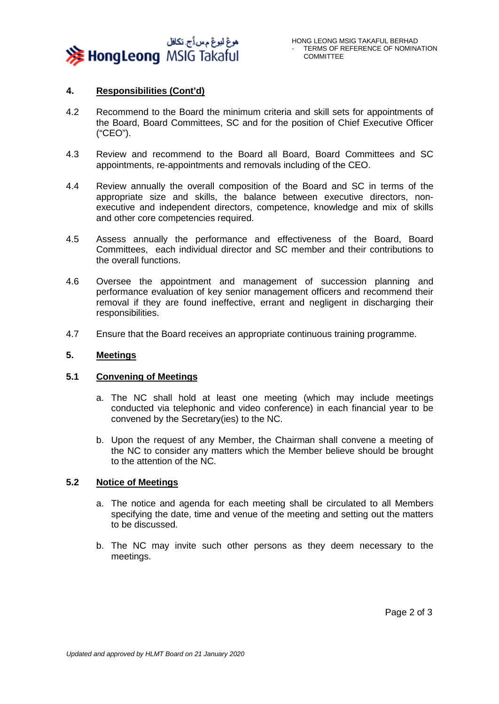

# **4. Responsibilities (Cont'd)**

- 4.2 Recommend to the Board the minimum criteria and skill sets for appointments of the Board, Board Committees, SC and for the position of Chief Executive Officer ("CEO").
- 4.3 Review and recommend to the Board all Board, Board Committees and SC appointments, re-appointments and removals including of the CEO.
- 4.4 Review annually the overall composition of the Board and SC in terms of the appropriate size and skills, the balance between executive directors, nonexecutive and independent directors, competence, knowledge and mix of skills and other core competencies required.
- 4.5 Assess annually the performance and effectiveness of the Board, Board Committees, each individual director and SC member and their contributions to the overall functions.
- 4.6 Oversee the appointment and management of succession planning and performance evaluation of key senior management officers and recommend their removal if they are found ineffective, errant and negligent in discharging their responsibilities.
- 4.7 Ensure that the Board receives an appropriate continuous training programme.

## **5. Meetings**

### **5.1 Convening of Meetings**

- a. The NC shall hold at least one meeting (which may include meetings conducted via telephonic and video conference) in each financial year to be convened by the Secretary(ies) to the NC.
- b. Upon the request of any Member, the Chairman shall convene a meeting of the NC to consider any matters which the Member believe should be brought to the attention of the NC.

# **5.2 Notice of Meetings**

- a. The notice and agenda for each meeting shall be circulated to all Members specifying the date, time and venue of the meeting and setting out the matters to be discussed.
- b. The NC may invite such other persons as they deem necessary to the meetings.